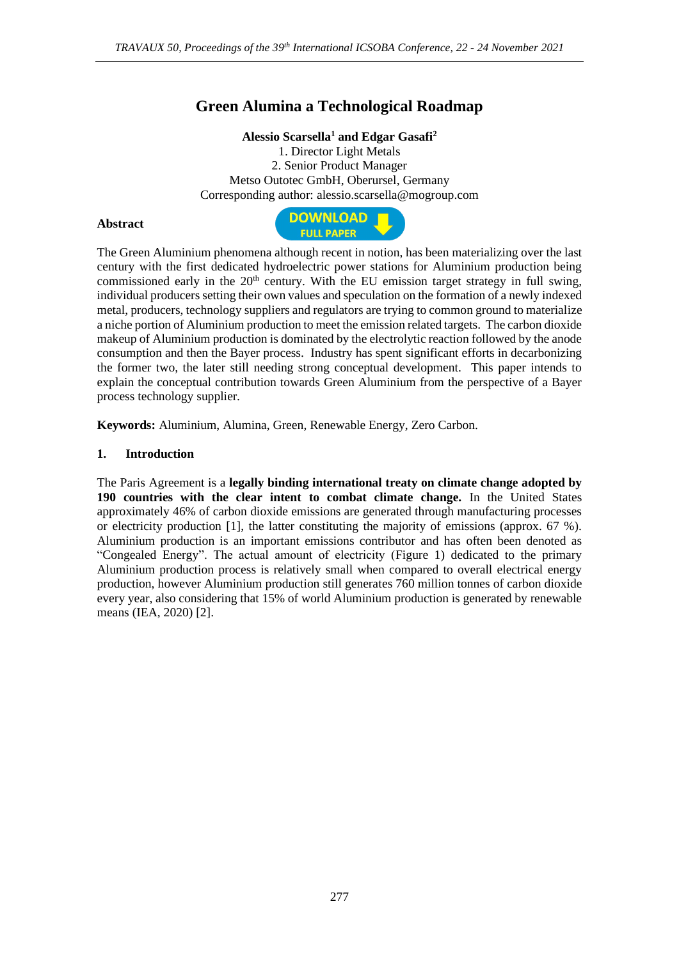# **Green Alumina a Technological Roadmap**

### **Alessio Scarsella<sup>1</sup> and Edgar Gasafi<sup>2</sup>**

1. Director Light Metals 2. Senior Product Manager Metso Outotec GmbH, Oberursel, Germany Corresponding author: alessio.scarsella@mogroup.com

### **Abstract**



The Green Aluminium phenomena although recent in notion, has been materializing over the last century with the first dedicated hydroelectric power stations for Aluminium production being commissioned early in the  $20<sup>th</sup>$  century. With the EU emission target strategy in full swing, individual producers setting their own values and speculation on the formation of a newly indexed metal, producers, technology suppliers and regulators are trying to common ground to materialize a niche portion of Aluminium production to meet the emission related targets. The carbon dioxide makeup of Aluminium production is dominated by the electrolytic reaction followed by the anode consumption and then the Bayer process. Industry has spent significant efforts in decarbonizing the former two, the later still needing strong conceptual development. This paper intends to explain the conceptual contribution towards Green Aluminium from the perspective of a Bayer process technology supplier.

**Keywords:** Aluminium, Alumina, Green, Renewable Energy, Zero Carbon.

### **1. Introduction**

The Paris Agreement is a **legally binding international treaty on climate change adopted by 190 countries with the clear intent to combat climate change.** In the United States approximately 46% of carbon dioxide emissions are generated through manufacturing processes or electricity production [1], the latter constituting the majority of emissions (approx. 67 %). Aluminium production is an important emissions contributor and has often been denoted as "Congealed Energy". The actual amount of electricity (Figure 1) dedicated to the primary Aluminium production process is relatively small when compared to overall electrical energy production, however Aluminium production still generates 760 million tonnes of carbon dioxide every year, also considering that 15% of world Aluminium production is generated by renewable means (IEA, 2020) [2].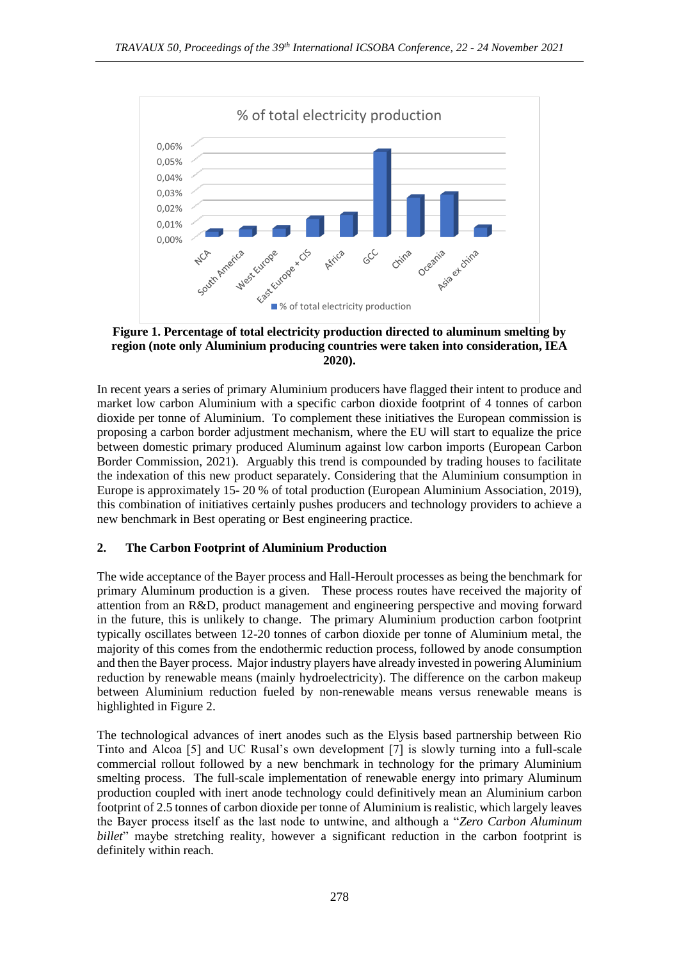

**Figure 1. Percentage of total electricity production directed to aluminum smelting by region (note only Aluminium producing countries were taken into consideration, IEA 2020).**

In recent years a series of primary Aluminium producers have flagged their intent to produce and market low carbon Aluminium with a specific carbon dioxide footprint of 4 tonnes of carbon dioxide per tonne of Aluminium. To complement these initiatives the European commission is proposing a carbon border adjustment mechanism, where the EU will start to equalize the price between domestic primary produced Aluminum against low carbon imports (European Carbon Border Commission, 2021). Arguably this trend is compounded by trading houses to facilitate the indexation of this new product separately. Considering that the Aluminium consumption in Europe is approximately 15- 20 % of total production (European Aluminium Association, 2019), this combination of initiatives certainly pushes producers and technology providers to achieve a new benchmark in Best operating or Best engineering practice.

# **2. The Carbon Footprint of Aluminium Production**

The wide acceptance of the Bayer process and Hall-Heroult processes as being the benchmark for primary Aluminum production is a given. These process routes have received the majority of attention from an R&D, product management and engineering perspective and moving forward in the future, this is unlikely to change. The primary Aluminium production carbon footprint typically oscillates between 12-20 tonnes of carbon dioxide per tonne of Aluminium metal, the majority of this comes from the endothermic reduction process, followed by anode consumption and then the Bayer process. Major industry players have already invested in powering Aluminium reduction by renewable means (mainly hydroelectricity). The difference on the carbon makeup between Aluminium reduction fueled by non-renewable means versus renewable means is highlighted in Figure 2.

The technological advances of inert anodes such as the Elysis based partnership between Rio Tinto and Alcoa [5] and UC Rusal's own development [7] is slowly turning into a full-scale commercial rollout followed by a new benchmark in technology for the primary Aluminium smelting process. The full-scale implementation of renewable energy into primary Aluminum production coupled with inert anode technology could definitively mean an Aluminium carbon footprint of 2.5 tonnes of carbon dioxide per tonne of Aluminium is realistic, which largely leaves the Bayer process itself as the last node to untwine, and although a "*Zero Carbon Aluminum billet*" maybe stretching reality, however a significant reduction in the carbon footprint is definitely within reach.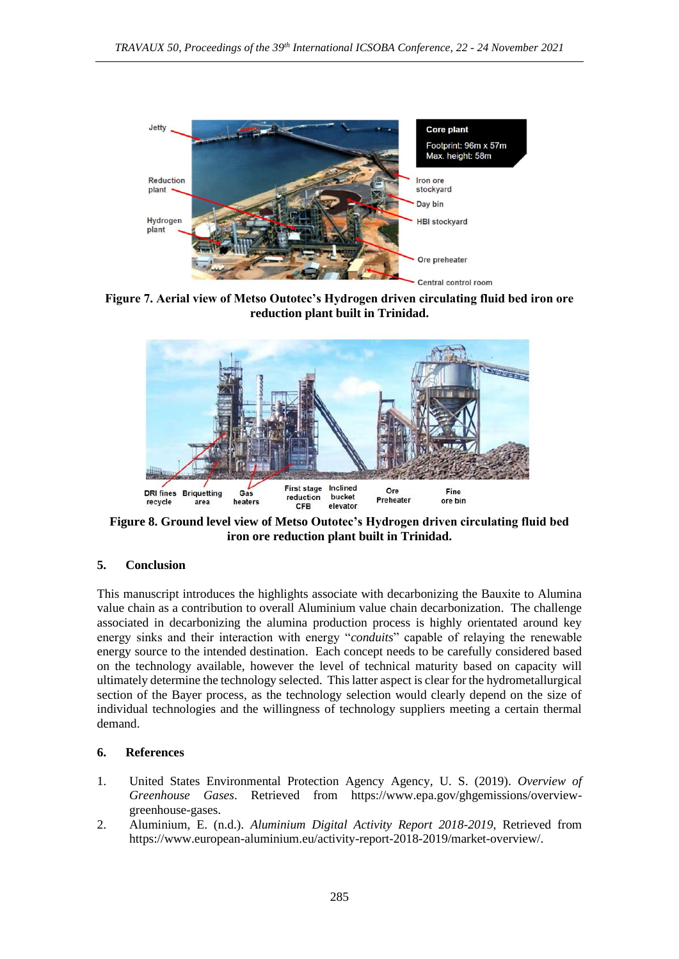

**Figure 7. Aerial view of Metso Outotec's Hydrogen driven circulating fluid bed iron ore reduction plant built in Trinidad.**



**Figure 8. Ground level view of Metso Outotec's Hydrogen driven circulating fluid bed iron ore reduction plant built in Trinidad.**

# **5. Conclusion**

This manuscript introduces the highlights associate with decarbonizing the Bauxite to Alumina value chain as a contribution to overall Aluminium value chain decarbonization. The challenge associated in decarbonizing the alumina production process is highly orientated around key energy sinks and their interaction with energy "*conduits*" capable of relaying the renewable energy source to the intended destination. Each concept needs to be carefully considered based on the technology available, however the level of technical maturity based on capacity will ultimately determine the technology selected. This latter aspect is clear for the hydrometallurgical section of the Bayer process, as the technology selection would clearly depend on the size of individual technologies and the willingness of technology suppliers meeting a certain thermal demand.

# **6. References**

- 1. United States Environmental Protection Agency Agency, U. S. (2019). *Overview of Greenhouse Gases*. Retrieved from https://www.epa.gov/ghgemissions/overviewgreenhouse-gases.
- 2. Aluminium, E. (n.d.). *Aluminium Digital Activity Report 2018-2019*, Retrieved from https://www.european-aluminium.eu/activity-report-2018-2019/market-overview/.